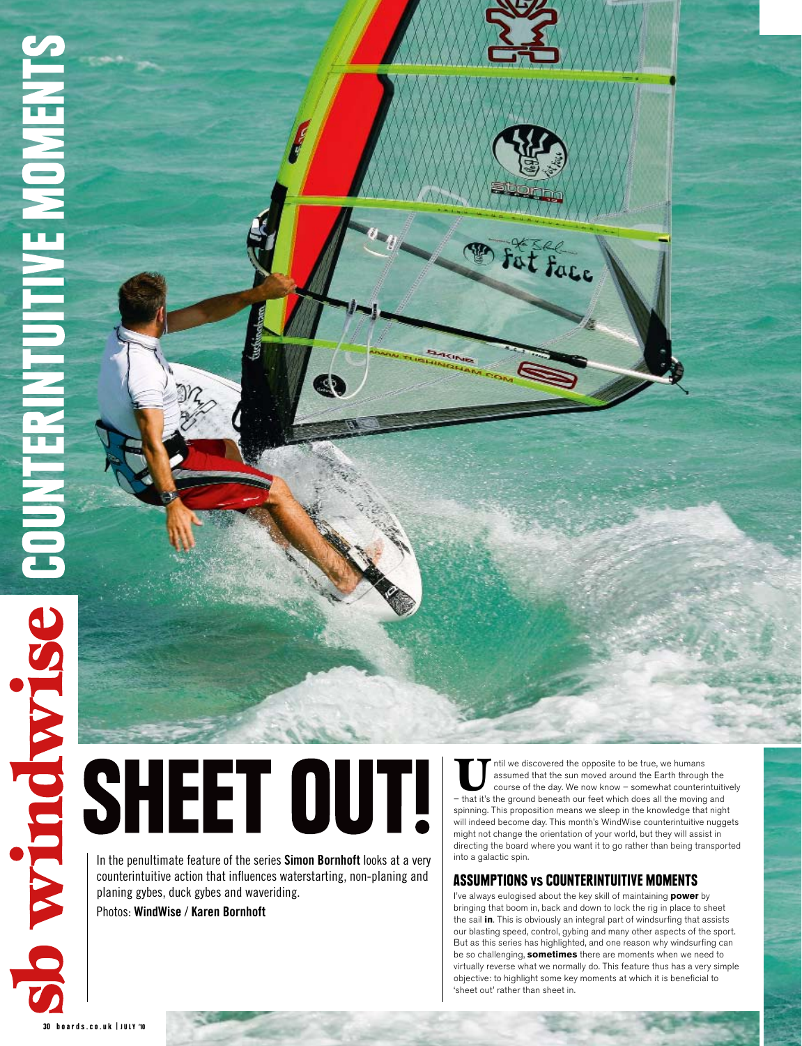In the penultimate feature of the series **Simon Bornhoft** looks at a very counterintuitive action that influences waterstarting, non-planing and planing gybes, duck gybes and waveriding.

Photos: **WindWise** / **Karen Bornhoft**

Itil we discovered the opposite to be true, we humans<br>
sasumed that the sun moved around the Earth through the<br>
course of the day. We now know – somewhat counterintuitively<br>
— that it's the ground beneath our feet which do assumed that the sun moved around the Earth through the – that it's the ground beneath our feet which does all the moving and spinning. This proposition means we sleep in the knowledge that night will indeed become day. This month's WindWise counterintuitive nuggets might not change the orientation of your world, but they will assist in directing the board where you want it to go rather than being transported into a galactic spin.

### Assumptions vs Counterintuitive Moments

I've always eulogised about the key skill of maintaining **power** by bringing that boom in, back and down to lock the rig in place to sheet the sail **in**. This is obviously an integral part of windsurfing that assists our blasting speed, control, gybing and many other aspects of the sport. But as this series has highlighted, and one reason why windsurfing can be so challenging, **sometimes** there are moments when we need to virtually reverse what we normally do. This feature thus has a very simple objective: to highlight some key moments at which it is beneficial to 'sheet out' rather than sheet in.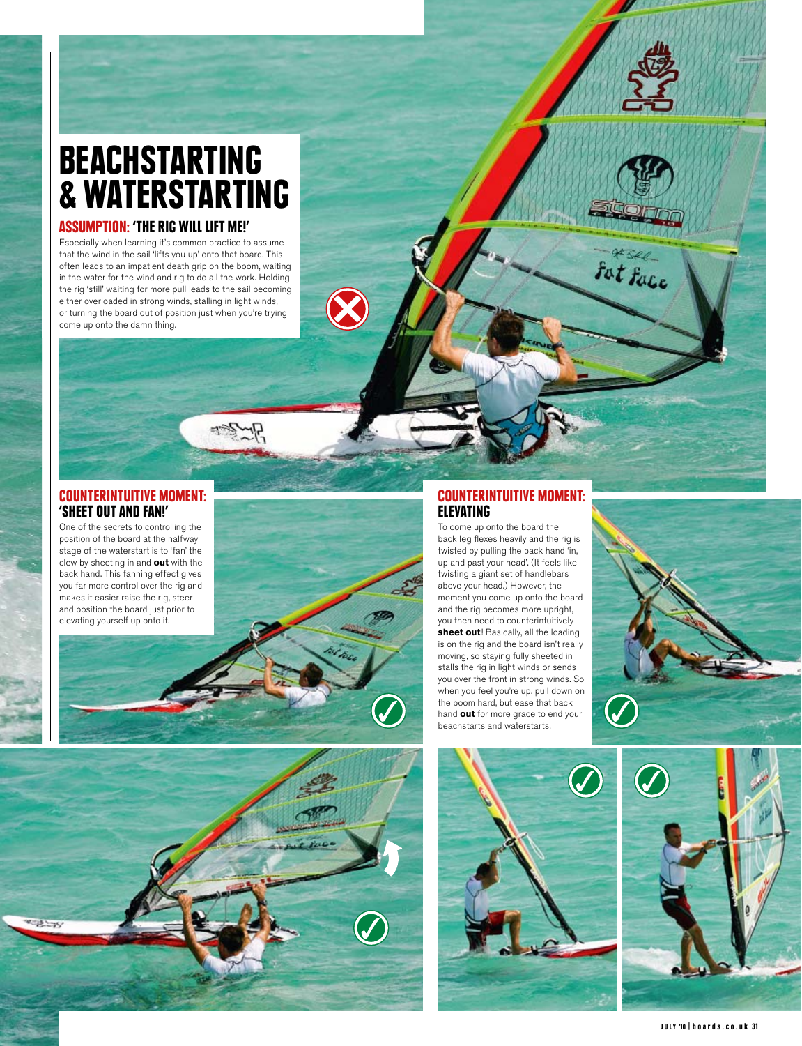## BEACHSTARTING & WATERSTARTING

### Assumption: 'The Rig Will Lift Me!'

Especially when learning it's common practice to assume that the wind in the sail 'lifts you up' onto that board. This often leads to an impatient death grip on the boom, waiting in the water for the wind and rig to do all the work. Holding the rig 'still' waiting for more pull leads to the sail becoming either overloaded in strong winds, stalling in light winds, or turning the board out of position just when you're trying come up onto the damn thing.



### Counterintuitive Moment: 'Sheet out and fan!'

position of the board at the halfway stage of the waterstart is to 'fan' the clew by sheeting in and **out** with the back hand. This fanning effect gives you far more control over the rig and makes it easier raise the rig, steer and position the board just prior to elevating yourself up onto it.





### Counterintuitive Moment: **ELEVATING**

To come up onto the board the back leg flexes heavily and the rig is twisted by pulling the back hand 'in, up and past your head'. (It feels like twisting a giant set of handlebars above your head.) However, the moment you come up onto the board and the rig becomes more upright, you then need to counterintuitively **sheet out**! Basically, all the loading is on the rig and the board isn't really moving, so staying fully sheeted in stalls the rig in light winds or sends you over the front in strong winds. So when you feel you're up, pull down on the boom hard, but ease that back hand **out** for more grace to end your beachstarts and waterstarts.





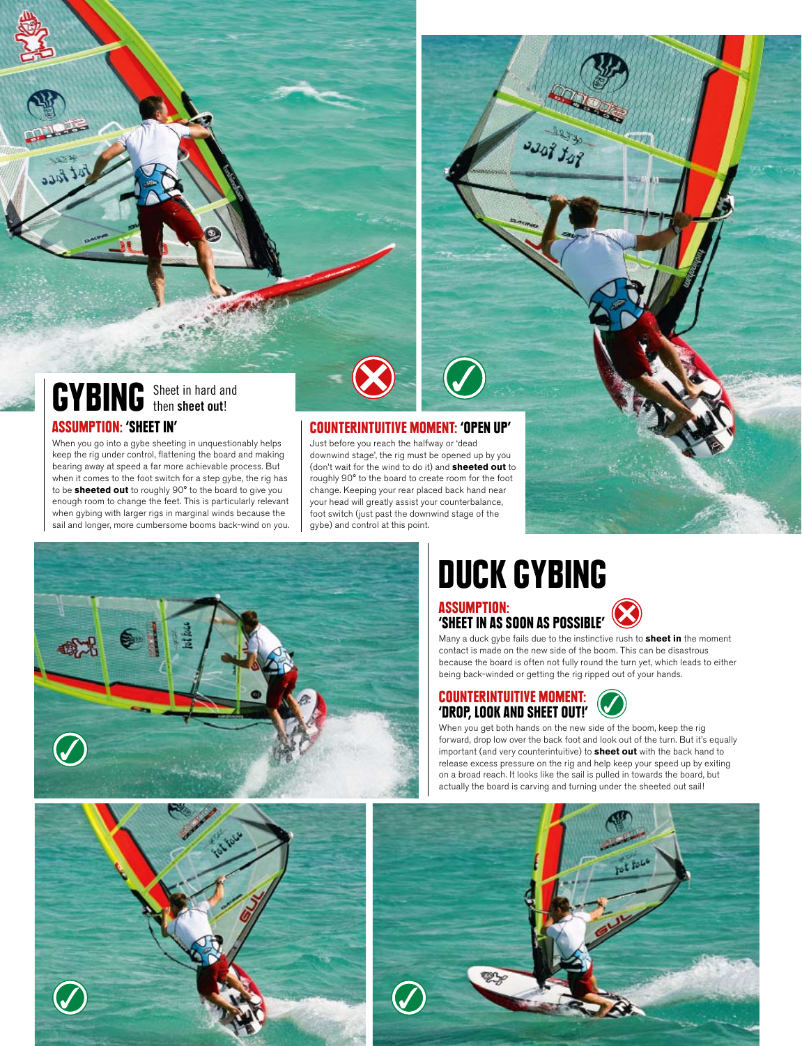### GYBING Sheet in hard and then **sheet out**!

#### Assumption: 'Sheet in'

When you go into a gybe sheeting in unquestionably helps keep the rig under control, flattening the board and making bearing away at speed a far more achievable process. But when it comes to the foot switch for a step gybe, the rig has to be **sheeted out** to roughly 90° to the board to give you enough room to change the feet. This is particularly relevant when gybing with larger rigs in marginal winds because the sail and longer, more cumbersome booms back-wind on you.

#### Counterintuitive Moment: 'Open up'

Just before you reach the halfway or 'dead downwind stage', the rig must be opened up by you (don't wait for the wind to do it) and **sheeted out** to roughly 90° to the board to create room for the foot change. Keeping your rear placed back hand near your head will greatly assist your counterbalance, foot switch (just past the downwind stage of the gybe) and control at this point.



## DUCK GYBING

 $3308$   $308$ 

## Assumption: 'Sheet in as soon as possible'



Many a duck gybe fails due to the instinctive rush to **sheet in** the moment contact is made on the new side of the boom. This can be disastrous because the board is often not fully round the turn yet, which leads to either being back-winded or getting the rig ripped out of your hands.

### Counterintuitive Moment: 'Drop, look and sheet out!'



When you get both hands on the new side of the boom, keep the rig forward, drop low over the back foot and look out of the turn. But it's equally important (and very counterintuitive) to **sheet out** with the back hand to release excess pressure on the rig and help keep your speed up by exiting on a broad reach. It looks like the sail is pulled in towards the board, but actually the board is carving and turning under the sheeted out sail!